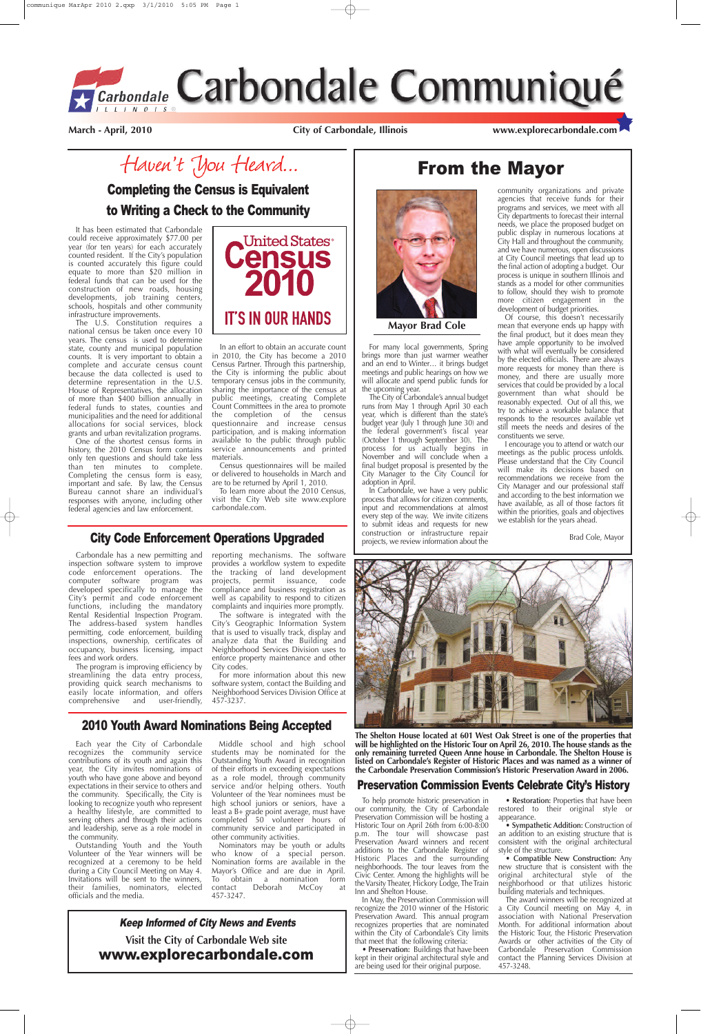# From the Mayor



It has been estimated that Carbondale could receive approximately \$77.00 per year (for ten years) for each accurately counted resident. If the City's population is counted accurately this figure could equate to more than \$20 million in federal funds that can be used for the construction of new roads, housing developments, job training centers, schools, hospitals and other community infrastructure improvements.

The U.S. Constitution requires a national census be taken once every 10 years. The census is used to determine state, county and municipal population counts. It is very important to obtain a complete and accurate census count because the data collected is used to determine representation in the U.S. House of Representatives, the allocation of more than \$400 billion annually in federal funds to states, counties and municipalities and the need for additional allocations for social services, block grants and urban revitalization programs.

One of the shortest census forms in history, the 2010 Census form contains only ten questions and should take less than ten minutes to complete. Completing the census form is easy, important and safe. By law, the Census Bureau cannot share an individual's responses with anyone, including other federal agencies and law enforcement.



In an effort to obtain an accurate count in 2010, the City has become a 2010 Census Partner. Through this partnership, the City is informing the public about temporary census jobs in the community, sharing the importance of the census at public meetings, creating Complete Count Committees in the area to promote the completion of the census questionnaire and increase census participation, and is making information available to the public through public service announcements and printed materials.

Census questionnaires will be mailed or delivered to households in March and are to be returned by April 1, 2010.

To learn more about the 2010 Census, visit the City Web site www.explore carbondale.com.

Completing the Census is Equivalent to Writing a Check to the Community

> For many local governments, Spring brings more than just warmer weather and an end to Winter… it brings budget meetings and public hearings on how we will allocate and spend public funds for the upcoming year.

> The City of Carbondale's annual budget runs from May 1 through April 30 each year, which is different than the state's budget year (July 1 through June 30) and the federal government's fiscal year (October 1 through September 30). The process for us actually begins in November and will conclude when a final budget proposal is presented by the City Manager to the City Council for adoption in April.

> In Carbondale, we have a very public process that allows for citizen comments, input and recommendations at almost every step of the way. We invite citizens to submit ideas and requests for new construction or infrastructure repair projects, we review information about the

community organizations and private agencies that receive funds for their programs and services, we meet with all City departments to forecast their internal needs, we place the proposed budget on public display in numerous locations at City Hall and throughout the community, and we have numerous, open discussions at City Council meetings that lead up to the final action of adopting a budget. Our process is unique in southern Illinois and stands as a model for other communities to follow, should they wish to promote more citizen engagement in the development of budget priorities.

Of course, this doesn't necessarily mean that everyone ends up happy with the final product, but it does mean they have ample opportunity to be involved with what will eventually be considered by the elected officials. There are always more requests for money than there is money, and there are usually more services that could be provided by a local government than what should be reasonably expected. Out of all this, we try to achieve a workable balance that responds to the resources available yet still meets the needs and desires of the constituents we serve.

I encourage you to attend or watch our meetings as the public process unfolds. Please understand that the City Council will make its decisions based on recommendations we receive from the City Manager and our professional staff and according to the best information we have available, as all of those factors fit within the priorities, goals and objectives we establish for the years ahead.

Brad Cole, Mayor



**Mayor Brad Cole**

# City Code Enforcement Operations Upgraded

Carbondale has a new permitting and inspection software system to improve code enforcement operations. The computer software program was developed specifically to manage the City's permit and code enforcement functions, including the mandatory Rental Residential Inspection Program. The address-based system handles permitting, code enforcement, building inspections, ownership, certificates of occupancy, business licensing, impact fees and work orders.

The program is improving efficiency by streamlining the data entry process, providing quick search mechanisms to easily locate information, and offers comprehensive and user-friendly, reporting mechanisms. The software provides a workflow system to expedite the tracking of land development projects, permit issuance, code compliance and business registration as well as capability to respond to citizen complaints and inquiries more promptly.

The software is integrated with the City's Geographic Information System that is used to visually track, display and analyze data that the Building and Neighborhood Services Division uses to enforce property maintenance and other City codes.

For more information about this new software system, contact the Building and Neighborhood Services Division Office at 457-3237.

# 2010 Youth Award Nominations Being Accepted

Each year the City of Carbondale recognizes the community service contributions of its youth and again this year, the City invites nominations of youth who have gone above and beyond expectations in their service to others and the community. Specifically, the City is looking to recognize youth who represent a healthy lifestyle, are committed to serving others and through their actions and leadership, serve as a role model in the community.

Outstanding Youth and the Youth Volunteer of the Year winners will be recognized at a ceremony to be held during a City Council Meeting on May 4. Invitations will be sent to the winners, their families, nominators, elected officials and the media.

Middle school and high school students may be nominated for the Outstanding Youth Award in recognition of their efforts in exceeding expectations as a role model, through community service and/or helping others. Youth Volunteer of the Year nominees must be high school juniors or seniors, have a least a B+ grade point average, must have completed 50 volunteer hours of community service and participated in other community activities.

Nominators may be youth or adults who know of a special person. Nomination forms are available in the Mayor's Office and are due in April. To obtain a nomination form contact Deborah McCoy at 457-3247.

# Preservation Commission Events Celebrate City's History

To help promote historic preservation in our community, the City of Carbondale Preservation Commission will be hosting a Historic Tour on April 26th from 6:00-8:00 p.m. The tour will showcase past Preservation Award winners and recent additions to the Carbondale Register of Historic Places and the surrounding neighborhoods. The tour leaves from the Civic Center. Among the highlights will be the Varsity Theater, Hickory Lodge, The Train Inn and Shelton House.

In May, the Preservation Commission will recognize the 2010 winner of the Historic Preservation Award. This annual program recognizes properties that are nominated within the City of Carbondale's City limits that meet that the following criteria:

• **Preservation:** Buildings that have been kept in their original architectural style and are being used for their original purpose.

• **Restoration:** Properties that have been restored to their original style or appearance.

• **Sympathetic Addition:** Construction of an addition to an existing structure that is consistent with the original architectural style of the structure.

• **Compatible New Construction:** Any new structure that is consistent with the original architectural style of the neighborhood or that utilizes historic building materials and techniques.

The award winners will be recognized at a City Council meeting on May 4, in association with National Preservation Month. For additional information about the Historic Tour, the Historic Preservation Awards or other activities of the City of Carbondale Preservation Commission contact the Planning Services Division at 457-3248.

**March - April, 2010 City of Carbondale, Illinois www.explorecarbondale.com**

Haven't You Heard...



**The Shelton House located at 601 West Oak Street is one of the properties that will be highlighted on the Historic Tour on April 26, 2010. The house stands as the only remaining turreted Queen Anne house in Carbondale. The Shelton House is listed on Carbondale's Register of Historic Places and was named as a winner of the Carbondale Preservation Commission's Historic Preservation Award in 2006.**

**Visit the City of Carbondale Web site** www.explorecarbondale.com

#### Keep Informed of City News and Events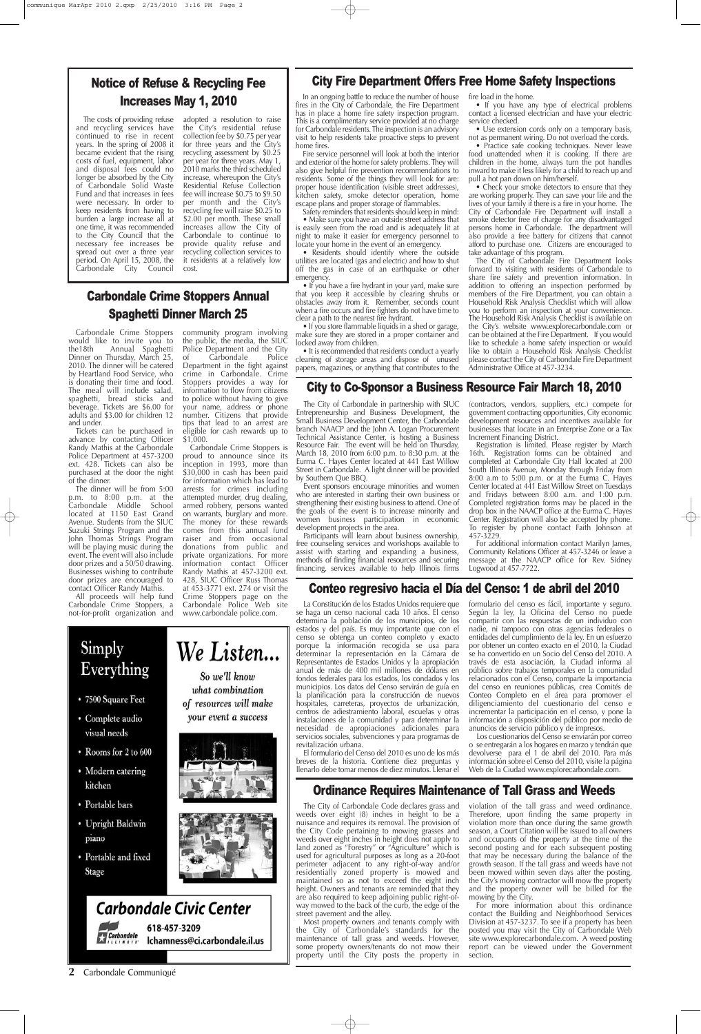## **2** Carbondale Communiqué

# City Fire Department Offers Free Home Safety Inspections

In an ongoing battle to reduce the number of house fires in the City of Carbondale, the Fire Department has in place a home fire safety inspection program. This is a complimentary service provided at no charge for Carbondale residents. The inspection is an advisory visit to help residents take proactive steps to prevent home fires.

Fire service personnel will look at both the interior and exterior of the home for safety problems. They will also give helpful fire prevention recommendations to residents. Some of the things they will look for are: proper house identification (visible street addresses), kitchen safety, smoke detector operation, home escape plans and proper storage of flammables.

• If you have a fire hydrant in your yard, make sure that you keep it accessible by clearing shrubs or obstacles away from it. Remember, seconds count when a fire occurs and fire fighters do not have time to clear a path to the nearest fire hydrant.

Safety reminders that residents should keep in mind: • Make sure you have an outside street address that is easily seen from the road and is adequately lit at night to make it easier for emergency personnel to

locate your home in the event of an emergency. • Residents should identify where the outside utilities are located (gas and electric) and how to shut off the gas in case of an earthquake or other emergency.

• Check your smoke detectors to ensure that they are working properly. They can save your life and the lives of your family if there is a fire in your home. The City of Carbondale Fire Department will install a smoke detector free of charge for any disadvantaged persons home in Carbondale. The department will also provide a free battery for citizens that cannot afford to purchase one. Citizens are encouraged to take advantage of this program.

The City of Carbondale Fire Department looks forward to visiting with residents of Carbondale to share fire safety and prevention information. In addition to offering an inspection performed by members of the Fire Department, you can obtain a Household Risk Analysis Checklist which will allow you to perform an inspection at your convenience. The Household Risk Analysis Checklist is available on the City's website www.explorecarbondale.com or can be obtained at the Fire Department. If you would like to schedule a home safety inspection or would like to obtain a Household Risk Analysis Checklist please contact the City of Carbondale Fire Department Administrative Office at 457-3234.

• If you store flammable liquids in a shed or garage, make sure they are stored in a proper container and locked away from children.

• It is recommended that residents conduct a yearly cleaning of storage areas and dispose of unused papers, magazines, or anything that contributes to the fire load in the home.

• If you have any type of electrical problems contact a licensed electrician and have your electric service checked.

• Use extension cords only on a temporary basis, not as permanent wiring. Do not overload the cords.

• Practice safe cooking techniques. Never leave food unattended when it is cooking. If there are children in the home, always turn the pot handles inward to make it less likely for a child to reach up and pull a hot pan down on him/herself.

# City to Co-Sponsor a Business Resource Fair March 18, 2010

The City of Carbondale in partnership with SIUC Entrepreneurship and Business Development, the Small Business Development Center, the Carbondale branch NAACP and the John A. Logan Procurement Technical Assistance Center, is hosting a Business Resource Fair. The event will be held on Thursday, March 18, 2010 from 6:00 p.m. to 8:30 p.m. at the Eurma C. Hayes Center located at 441 East Willow Street in Carbondale. A light dinner will be provided by Southern Que BBQ.

The costs of providing refuse and recycling services have continued to rise in recent years. In the spring of 2008 it became evident that the rising costs of fuel, equipment, labor and disposal fees could no longer be absorbed by the City of Carbondale Solid Waste Fund and that increases in fees were necessary. In order to keep residents from having to burden a large increase all at one time, it was recommended to the City Council that the necessary fee increases be spread out over a three year period. On April 15, 2008, the Carbondale City Council

> Event sponsors encourage minorities and women who are interested in starting their own business or strengthening their existing business to attend. One of the goals of the event is to increase minority and women business participation in economic development projects in the area.

> Participants will learn about business ownership, free counseling services and workshops available to assist with starting and expanding a business, methods of finding financial resources and securing financing, services available to help Illinois firms

> The City of Carbondale Code declares grass and weeds over eight (8) inches in height to be a nuisance and requires its removal. The provision of the City Code pertaining to mowing grasses and weeds over eight inches in height does not apply to land zoned as "Forestry" or "Agriculture" which is used for agricultural purposes as long as a 20-foot perimeter adjacent to any right-of-way and/or residentially zoned property is mowed and maintained so as not to exceed the eight inch height. Owners and tenants are reminded that they are also required to keep adjoining public right-ofway mowed to the back of the curb, the edge of the street pavement and the alley.

(contractors, vendors, suppliers, etc.) compete for government contracting opportunities, City economic development resources and incentives available for businesses that locate in an Enterprise Zone or a Tax Increment Financing District.

Registration is limited. Please register by March 16th. Registration forms can be obtained and completed at Carbondale City Hall located at 200 South Illinois Avenue, Monday through Friday from 8:00 a.m to 5:00 p.m. or at the Eurma C. Hayes Center located at 441 East Willow Street on Tuesdays and Fridays between 8:00 a.m. and 1:00 p.m. Completed registration forms may be placed in the drop box in the NAACP office at the Eurma C. Hayes Center. Registration will also be accepted by phone. To register by phone contact Faith Johnson at 457-3229.

For additional information contact Marilyn James, Community Relations Officer at 457-3246 or leave a message at the NAACP office for Rev. Sidney Logwood at 457-7722.

# Conteo regresivo hacia el Día del Censo: 1 de abril del 2010

All proceeds will help fund Carbondale Crime Stoppers, a not-for-profit organization and

La Constitución de los Estados Unidos requiere que se haga un censo nacional cada 10 años. El censo determina la población de los municipios, de los estados y del país. Es muy importante que con el censo se obtenga un conteo completo y exacto porque la información recogida se usa para determinar la representación en la Cámara de Representantes de Estados Unidos y la apropiación anual de más de 400 mil millones de dólares en fondos federales para los estados, los condados y los municipios. Los datos del Censo servirán de guía en la planificación para la construcción de nuevos hospitales, carreteras, proyectos de urbanización, centros de adiestramiento laboral, escuelas y otras instalaciones de la comunidad y para determinar la

necesidad de apropiaciones adicionales para servicios sociales, subvenciones y para programas de revitalización urbana.

El formulario del Censo del 2010 es uno de los más breves de la historia. Contiene diez preguntas y llenarlo debe tomar menos de diez minutos. Llenar el

formulario del censo es fácil, importante y seguro. Según la ley, la Oficina del Censo no puede compartir con las respuestas de un individuo con nadie, ni tampoco con otras agencias federales o entidades del cumplimiento de la ley. En un esfuerzo por obtener un conteo exacto en el 2010, la Ciudad se ha convertido en un Socio del Censo del 2010. A través de esta asociación, la Ciudad informa al público sobre trabajos temporales en la comunidad relacionados con el Censo, comparte la importancia del censo en reuniones públicas, crea Comités de Conteo Completo en el área para promover el diligenciamiento del cuestionario del censo e incrementar la participación en el censo, y pone la información a disposición del público por medio de

# Simply We Listen... Everything • 7500 Square Feet

So we'll know what combination of resources will make your event a success

visual needs

• Complete audio

- Rooms for 2 to 600
- Modern catering kitchen
- Portable bars
- Upright Baldwin piano
- Portable and fixed Stage







anuncios de servicio público y de impresos.

Los cuestionarios del Censo se enviarán por correo o se entregarán a los hogares en marzo y tendrán que devolverse para el 1 de abril del 2010. Para más información sobre el Censo del 2010, visite la página Web de la Ciudad www.explorecarbondale.com.

# Notice of Refuse & Recycling Fee Increases May 1, 2010

adopted a resolution to raise the City's residential refuse collection fee by \$0.75 per year for three years and the City's recycling assessment by \$0.25 per year for three years. May 1, 2010 marks the third scheduled increase, whereupon the City's Residential Refuse Collection fee will increase \$0.75 to \$9.50 per month and the City's recycling fee will raise \$0.25 to \$2.00 per month. These small increases allow the City of Carbondale to continue to provide quality refuse and recycling collection services to it residents at a relatively low cost.

# Ordinance Requires Maintenance of Tall Grass and Weeds

Most property owners and tenants comply with the City of Carbondale's standards for the maintenance of tall grass and weeds. However, some property owners/tenants do not mow their property until the City posts the property in

violation of the tall grass and weed ordinance. Therefore, upon finding the same property in violation more than once during the same growth season, a Court Citation will be issued to all owners and occupants of the property at the time of the second posting and for each subsequent posting that may be necessary during the balance of the growth season. If the tall grass and weeds have not been mowed within seven days after the posting, the City's mowing contractor will mow the property and the property owner will be billed for the mowing by the City.

For more information about this ordinance contact the Building and Neighborhood Services Division at 457-3237. To see if a property has been posted you may visit the City of Carbondale Web site www.explorecarbondale.com. A weed posting report can be viewed under the Government section.

# Carbondale Crime Stoppers Annual Spaghetti Dinner March 25

Carbondale Crime Stoppers would like to invite you to the18th Annual Spaghetti Dinner on Thursday, March 25, 2010. The dinner will be catered by Heartland Food Service, who is donating their time and food. The meal will include salad, spaghetti, bread sticks and beverage. Tickets are \$6.00 for adults and \$3.00 for children 12 and under.

Tickets can be purchased in advance by contacting Officer Randy Mathis at the Carbondale Police Department at 457-3200 ext. 428. Tickets can also be purchased at the door the night of the dinner.

The dinner will be from 5:00 p.m. to 8:00 p.m. at the Carbondale Middle School located at 1150 East Grand Avenue. Students from the SIUC Suzuki Strings Program and the John Thomas Strings Program will be playing music during the event. The event will also include door prizes and a 50/50 drawing. Businesses wishing to contribute door prizes are encouraged to contact Officer Randy Mathis.

community program involving the public, the media, the SIUC Police Department and the City of Carbondale Police Department in the fight against crime in Carbondale. Crime Stoppers provides a way for information to flow from citizens to police without having to give your name, address or phone number. Citizens that provide tips that lead to an arrest are eligible for cash rewards up to \$1,000.

Carbondale Crime Stoppers is proud to announce since its inception in 1993, more than \$30,000 in cash has been paid for information which has lead to arrests for crimes including attempted murder, drug dealing, armed robbery, persons wanted on warrants, burglary and more. The money for these rewards comes from this annual fund raiser and from occasional donations from public and private organizations. For more information contact Officer Randy Mathis at 457-3200 ext. 428, SIUC Officer Russ Thomas at 453-3771 ext. 274 or visit the Crime Stoppers page on the Carbondale Police Web site www.carbondale police.com.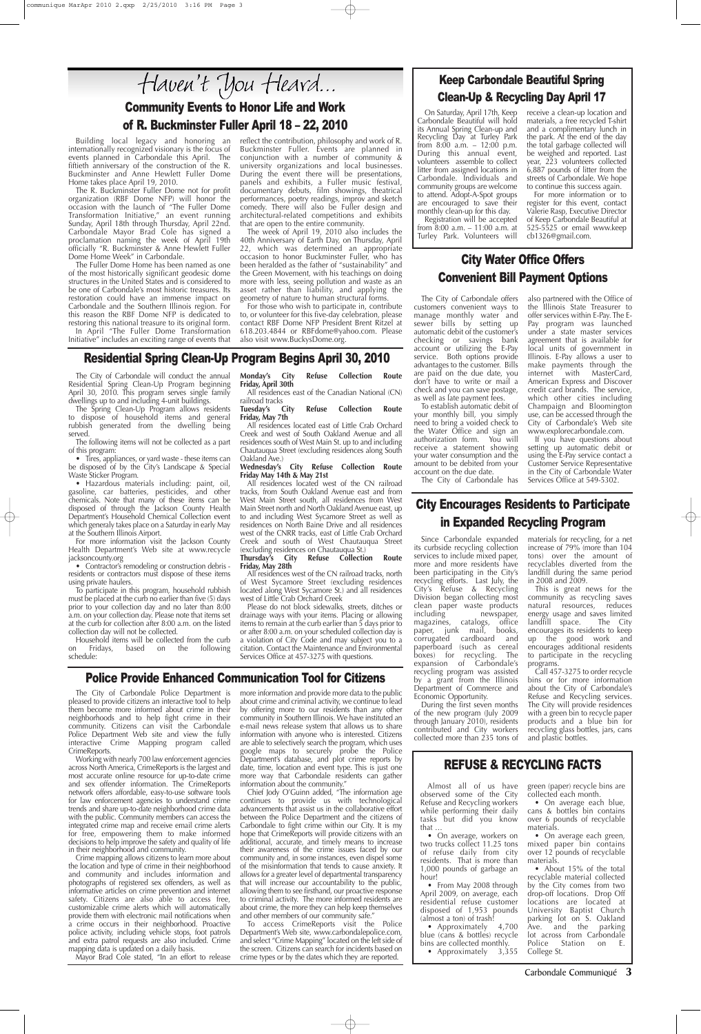Carbondale Communiqué **3**

The City of Carbondale Police Department is pleased to provide citizens an interactive tool to help them become more informed about crime in their neighborhoods and to help fight crime in their community. Citizens can visit the Carbondale Police Department Web site and view the fully interactive Crime Mapping program called CrimeReports. Working with nearly 700 law enforcement agencies across North America, CrimeReports is the largest and most accurate online resource for up-to-date crime and sex offender information. The CrimeReports network offers affordable, easy-to-use software tools for law enforcement agencies to understand crime trends and share up-to-date neighborhood crime data with the public. Community members can access the integrated crime map and receive email crime alerts for free, empowering them to make informed decisions to help improve the safety and quality of life in their neighborhood and community. Crime mapping allows citizens to learn more about the location and type of crime in their neighborhood and community and includes information and photographs of registered sex offenders, as well as informative articles on crime prevention and internet safety. Citizens are also able to access free, customizable crime alerts which will automatically provide them with electronic mail notifications when a crime occurs in their neighborhood. Proactive police activity, including vehicle stops, foot patrols and extra patrol requests are also included. Crime mapping data is updated on a daily basis. Mayor Brad Cole stated, "In an effort to release

## Police Provide Enhanced Communication Tool for Citizens

more information and provide more data to the public about crime and criminal activity, we continue to lead by offering more to our residents than any other community in Southern Illinois. We have instituted an e-mail news release system that allows us to share information with anyone who is interested. Citizens are able to selectively search the program, which uses google maps to securely probe the Police Department's database, and plot crime reports by date, time, location and event type. This is just one more way that Carbondale residents can gather information about the community." Chief Jody O'Guinn added, "The information age continues to provide us with technological advancements that assist us in the collaborative effort between the Police Department and the citizens of Carbondale to fight crime within our City. It is my hope that CrimeReports will provide citizens with an additional, accurate, and timely means to increase their awareness of the crime issues faced by our community and, in some instances, even dispel some of the misinformation that tends to cause anxiety. It allows for a greater level of departmental transparency that will increase our accountability to the public, allowing them to see firsthand, our proactive response to criminal activity. The more informed residents are about crime, the more they can help keep themselves and other members of our community safe." To access CrimeReports visit the Police Department's Web site, www.carbondalepolice.com, and select "Crime Mapping" located on the left side of the screen. Citizens can search for incidents based on crime types or by the dates which they are reported.

# City Water Office Offers Convenient Bill Payment Options

The City of Carbondale offers customers convenient ways to manage monthly water and sewer bills by setting up automatic debit of the customer's checking or savings bank account or utilizing the E-Pay service. Both options provide advantages to the customer. Bills are paid on the due date, you don't have to write or mail a check and you can save postage, as well as late payment fees.

The Spring Clean-Up Program allows residents to dispose of household items and general rubbish generated from the dwelling being served.

• Tires, appliances, or yard waste - these items can be disposed of by the City's Landscape & Special Waste Sticker Program.

To establish automatic debit of your monthly bill, you simply need to bring a voided check to the Water Office and sign an authorization form. You will receive a statement showing your water consumption and the amount to be debited from your account on the due date.

The City of Carbondale has

Household items will be collected from the curb<br>n Fridays, based on the following on Fridays, based on the schedule:

also partnered with the Office of the Illinois State Treasurer to offer services within E-Pay. The E-Pay program was launched under a state master services agreement that is available for local units of government in Illinois. E-Pay allows a user to make payments through the internet with MasterCard, American Express and Discover credit card brands. The service, which other cities including Champaign and Bloomington use, can be accessed through the City of Carbondale's Web site www.explorecarbondale.com. If you have questions about setting up automatic debit or using the E-Pay service contact a Customer Service Representative in the City of Carbondale Water Services Office at 549-5302.

#### railroad tracks<br>Tuesday's City **Refuse Collection Route Friday, May 7th**

All residences located east of Little Crab Orchard Creek and west of South Oakland Avenue and all residences south of West Main St. up to and including Chautauqua Street (excluding residences along South Oakland Ave.)

# Community Events to Honor Life and Work of R. Buckminster Fuller April 18 – 22, 2010

#### **Refuse Collection Route Friday, May 28th**

All residences west of the CN railroad tracks, north of West Sycamore Street (excluding residences located along West Sycamore St.) and all residences west of Little Crab Orchard Creek

Building local legacy and honoring an internationally recognized visionary is the focus of events planned in Carbondale this April. The fiftieth anniversary of the construction of the R. Buckminster and Anne Hewlett Fuller Dome Home takes place April 19, 2010.

> • On average, workers on two trucks collect 11.25 tons of refuse daily from city residents. That is more than 1,000 pounds of garbage an hour!

The R. Buckminster Fuller Dome not for profit organization (RBF Dome NFP) will honor the occasion with the launch of "The Fuller Dome Transformation Initiative," an event running Sunday, April 18th through Thursday, April 22nd. Carbondale Mayor Brad Cole has signed a proclamation naming the week of April 19th officially "R. Buckminster & Anne Hewlett Fuller Dome Home Week" in Carbondale.

> • From May 2008 through April 2009, on average, each residential refuse customer disposed of 1,953 pounds (almost a ton) of trash!

> • Approximately 4,700 blue (cans & bottles) recycle bins are collected monthly.

• Approximately 3,355

• On average each green, mixed paper bin contains over 12 pounds of recyclable materials.

• About 15% of the total recyclable material collected by the City comes from two drop-off locations. Drop Off locations are located at University Baptist Church parking lot on S. Oakland Ave. and the parking lot across from Carbondale Police Station on E. College St.

The Fuller Dome Home has been named as one of the most historically significant geodesic dome structures in the United States and is considered to be one of Carbondale's most historic treasures. Its restoration could have an immense impact on Carbondale and the Southern Illinois region. For this reason the RBF Dome NFP is dedicated to restoring this national treasure to its original form. In April "The Fuller Dome Transformation Initiative" includes an exciting range of events that reflect the contribution, philosophy and work of R. Buckminster Fuller. Events are planned in conjunction with a number of community & university organizations and local businesses. During the event there will be presentations, panels and exhibits, a Fuller music festival, documentary debuts, film showings, theatrical performances, poetry readings, improv and sketch comedy. There will also be Fuller design and architectural-related competitions and exhibits that are open to the entire community.

The week of April 19, 2010 also includes the 40th Anniversary of Earth Day, on Thursday, April 22, which was determined an appropriate occasion to honor Buckminster Fuller, who has been heralded as the father of "sustainability" and the Green Movement, with his teachings on doing more with less, seeing pollution and waste as an asset rather than liability, and applying the geometry of nature to human structural forms.

For those who wish to participate in, contribute to, or volunteer for this five-day celebration, please contact RBF Dome NFP President Brent Ritzel at 618.203.4844 or RBFdome@yahoo.com. Please also visit www.BuckysDome.org.

# Residential Spring Clean-Up Program Begins April 30, 2010

The City of Carbondale will conduct the annual Residential Spring Clean-Up Program beginning April 30, 2010. This program serves single family dwellings up to and including 4-unit buildings.

The following items will not be collected as a part of this program:

• Hazardous materials including: paint, oil, gasoline, car batteries, pesticides, and other chemicals. Note that many of these items can be disposed of through the Jackson County Health Department's Household Chemical Collection event which generaly takes place on a Saturday in early May at the Southern Illinois Airport.

For more information visit the Jackson County Health Department's Web site at www.recycle jacksoncounty.org

• Contractor's remodeling or construction debris residents or contractors must dispose of these items using private haulers.

To participate in this program, household rubbish must be placed at the curb no earlier than five (5) days prior to your collection day and no later than 8:00 a.m. on your collection day. Please note that items set at the curb for collection after 8:00 a.m. on the listed collection day will not be collected.

**Monday's City Refuse Collection Route Friday, April 30th**

All residences east of the Canadian National (CN)

#### **Wednesday's City Refuse Collection Route Friday May 14th & May 21st**

All residences located west of the CN railroad tracks, from South Oakland Avenue east and from West Main Street south, all residences from West Main Street north and North Oakland Avenue east, up to and including West Sycamore Street as well as residences on North Baine Drive and all residences west of the CNRR tracks, east of Little Crab Orchard Creek and south of West Chautauqua Street (excluding residences on Chautauqua St.)<br>Thursday's City Refuse Collectic

Please do not block sidewalks, streets, ditches or drainage ways with your items. Placing or allowing items to remain at the curb earlier than 5 days prior to or after 8:00 a.m. on your scheduled collection day is a violation of City Code and may subject you to a citation. Contact the Maintenance and Environmental Services Office at 457-3275 with questions.

# REFUSE & RECYCLING FACTS

Almost all of us have observed some of the City Refuse and Recycling workers while performing their daily tasks but did you know that …

green (paper) recycle bins are collected each month.

• On average each blue, cans & bottles bin contains over 6 pounds of recyclable materials.

# City Encourages Residents to Participate in Expanded Recycling Program

Since Carbondale expanded its curbside recycling collection services to include mixed paper, more and more residents have been participating in the City's recycling efforts. Last July, the City's Refuse & Recycling Division began collecting most clean paper waste products<br>including newspaper, newspaper,<br>catalogs, office magazines, paper, junk mail, books, corrugated cardboard and paperboard (such as cereal boxes) for recycling. The expansion of Carbondale's recycling program was assisted by a grant from the Illinois Department of Commerce and Economic Opportunity.

materials for recycling, for a net increase of 79% (more than 104 tons) over the amount of recyclables diverted from the landfill during the same period in 2008 and 2009.

During the first seven months of the new program (July 2009 through January 2010), residents contributed and City workers collected more than 235 tons of recycling glass bottles, jars, cans and plastic bottles.

This is great news for the community as recycling saves natural resources, reduces energy usage and saves limited landfill space. The City encourages its residents to keep up the good work and encourages additional residents to participate in the recycling programs.

Call 457-3275 to order recycle bins or for more information about the City of Carbondale's Refuse and Recycling services. The City will provide residences with a green bin to recycle paper products and a blue bin for

# Keep Carbondale Beautiful Spring Clean-Up & Recycling Day April 17

On Saturday, April 17th, Keep Carbondale Beautiful will hold its Annual Spring Clean-up and Recycling Day at Turley Park from 8:00 a.m. – 12:00 p.m. During this annual event, volunteers assemble to collect litter from assigned locations in Carbondale. Individuals and community groups are welcome to attend. Adopt-A-Spot groups are encouraged to save their monthly clean-up for this day.

Registration will be accepted from 8:00 a.m. – 11:00 a.m. at Turley Park. Volunteers will

receive a clean-up location and materials, a free recycled T-shirt and a complimentary lunch in the park. At the end of the day the total garbage collected will be weighed and reported. Last year, 223 volunteers collected 6,887 pounds of litter from the streets of Carbondale. We hope to continue this success again.

For more information or to register for this event, contact Valerie Rasp, Executive Director of Keep Carbondale Beautiful at 525-5525 or email www.keep cb1326@gmail.com.

# Haven't You Heard...